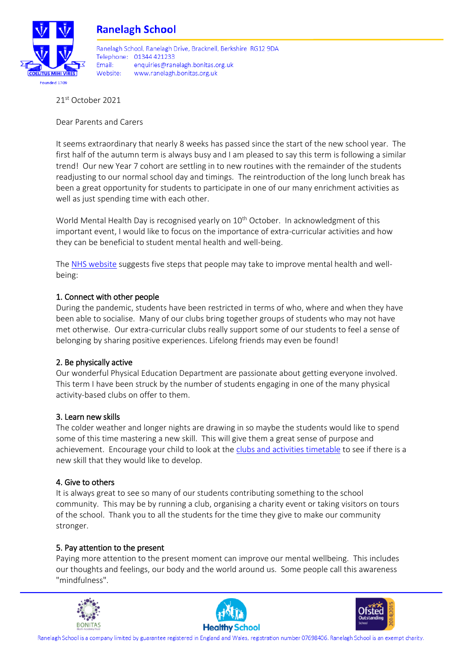

### **Ranelagh School**

Ranelagh School, Ranelagh Drive, Bracknell, Berkshire, RG12 9DA Telephone: 01344 421233 Fmail: enquiries@ranelagh.bonitas.org.uk Website: www.ranelagh.bonitas.org.uk

21st October 2021

Dear Parents and Carers

It seems extraordinary that nearly 8 weeks has passed since the start of the new school year. The first half of the autumn term is always busy and I am pleased to say this term is following a similar trend! Our new Year 7 cohort are settling in to new routines with the remainder of the students readjusting to our normal school day and timings. The reintroduction of the long lunch break has been a great opportunity for students to participate in one of our many enrichment activities as well as just spending time with each other.

World Mental Health Day is recognised yearly on 10<sup>th</sup> October. In acknowledgment of this important event, I would like to focus on the importance of extra-curricular activities and how they can be beneficial to student mental health and well-being.

The [NHS website](https://www.nhs.uk/mental-health/self-help/guides-tools-and-activities/five-steps-to-mental-wellbeing/) suggests five steps that people may take to improve mental health and wellbeing:

#### 1. Connect with other people

During the pandemic, students have been restricted in terms of who, where and when they have been able to socialise. Many of our clubs bring together groups of students who may not have met otherwise. Our extra-curricular clubs really support some of our students to feel a sense of belonging by sharing positive experiences. Lifelong friends may even be found!

#### 2. Be physically active

Our wonderful Physical Education Department are passionate about getting everyone involved. This term I have been struck by the number of students engaging in one of the many physical activity-based clubs on offer to them.

#### 3. Learn new skills

The colder weather and longer nights are drawing in so maybe the students would like to spend some of this time mastering a new skill. This will give them a great sense of purpose and achievement. Encourage your child to look at the [clubs and activities timetable](https://ranelagh.bonitas.org.uk/school-information/clubs-and-activities/) to see if there is a new skill that they would like to develop.

#### 4. Give to others

It is always great to see so many of our students contributing something to the school community. This may be by running a club, organising a charity event or taking visitors on tours of the school. Thank you to all the students for the time they give to make our community stronger.

#### 5. Pay attention to the present

Paying more attention to the present moment can improve our mental wellbeing. This includes our thoughts and feelings, our body and the world around us. Some people call this awareness "mindfulness".





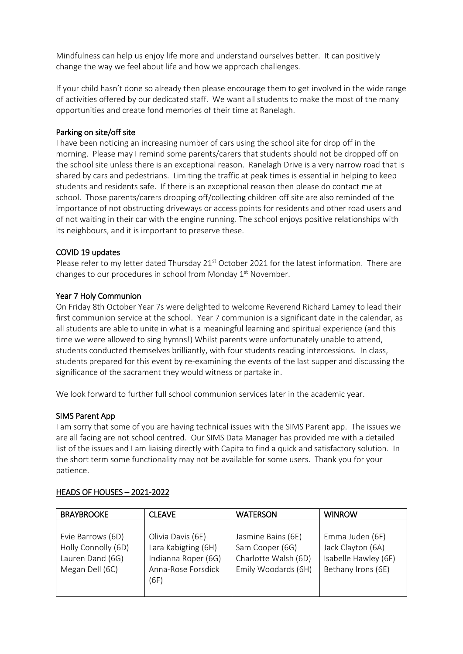Mindfulness can help us enjoy life more and understand ourselves better. It can positively change the way we feel about life and how we approach challenges.

If your child hasn't done so already then please encourage them to get involved in the wide range of activities offered by our dedicated staff. We want all students to make the most of the many opportunities and create fond memories of their time at Ranelagh.

#### Parking on site/off site

I have been noticing an increasing number of cars using the school site for drop off in the morning. Please may I remind some parents/carers that students should not be dropped off on the school site unless there is an exceptional reason. Ranelagh Drive is a very narrow road that is shared by cars and pedestrians. Limiting the traffic at peak times is essential in helping to keep students and residents safe. If there is an exceptional reason then please do contact me at school. Those parents/carers dropping off/collecting children off site are also reminded of the importance of not obstructing driveways or access points for residents and other road users and of not waiting in their car with the engine running. The school enjoys positive relationships with its neighbours, and it is important to preserve these.

#### COVID 19 updates

Please refer to my letter dated Thursday 21<sup>st</sup> October 2021 for the latest information. There are changes to our procedures in school from Monday  $1<sup>st</sup>$  November.

#### Year 7 Holy Communion

On Friday 8th October Year 7s were delighted to welcome Reverend Richard Lamey to lead their first communion service at the school. Year 7 communion is a significant date in the calendar, as all students are able to unite in what is a meaningful learning and spiritual experience (and this time we were allowed to sing hymns!) Whilst parents were unfortunately unable to attend, students conducted themselves brilliantly, with four students reading intercessions. In class, students prepared for this event by re-examining the events of the last supper and discussing the significance of the sacrament they would witness or partake in.

We look forward to further full school communion services later in the academic year.

#### SIMS Parent App

I am sorry that some of you are having technical issues with the SIMS Parent app. The issues we are all facing are not school centred. Our SIMS Data Manager has provided me with a detailed list of the issues and I am liaising directly with Capita to find a quick and satisfactory solution. In the short term some functionality may not be available for some users. Thank you for your patience.

| <b>BRAYBROOKE</b>                                                               | <b>CLEAVE</b>                                                                                 | <b>WATERSON</b>                                                                      | <b>WINROW</b>                                                                      |
|---------------------------------------------------------------------------------|-----------------------------------------------------------------------------------------------|--------------------------------------------------------------------------------------|------------------------------------------------------------------------------------|
| Evie Barrows (6D)<br>Holly Connolly (6D)<br>Lauren Dand (6G)<br>Megan Dell (6C) | Olivia Davis (6E)<br>Lara Kabigting (6H)<br>Indianna Roper (6G)<br>Anna-Rose Forsdick<br>(6F) | Jasmine Bains (6E)<br>Sam Cooper (6G)<br>Charlotte Walsh (6D)<br>Emily Woodards (6H) | Emma Juden (6F)<br>Jack Clayton (6A)<br>Isabelle Hawley (6F)<br>Bethany Irons (6E) |

#### HEADS OF HOUSES – 2021-2022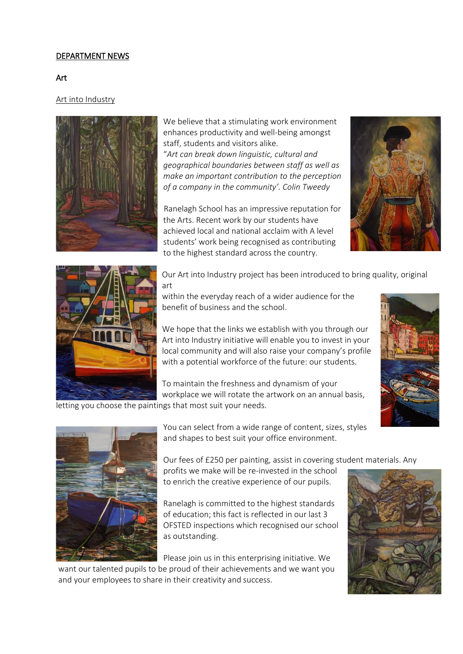#### DEPARTMENT NEWS

#### Art

#### Art into Industry



We believe that a stimulating work environment enhances productivity and well-being amongst staff, students and visitors alike. "*Art can break down linguistic, cultural and geographical boundaries between staff as well as make an important contribution to the perception of a company in the community'. Colin Tweedy*

Ranelagh School has an impressive reputation for the Arts. Recent work by our students have achieved local and national acclaim with A level students' work being recognised as contributing to the highest standard across the country.





Our Art into Industry project has been introduced to bring quality, original art

within the everyday reach of a wider audience for the benefit of business and the school.

We hope that the links we establish with you through our Art into Industry initiative will enable you to invest in your local community and will also raise your company's profile with a potential workforce of the future: our students.

To maintain the freshness and dynamism of your workplace we will rotate the artwork on an annual basis,

letting you choose the paintings that most suit your needs.





You can select from a wide range of content, sizes, styles and shapes to best suit your office environment.

Our fees of £250 per painting, assist in covering student materials. Any

profits we make will be re-invested in the school to enrich the creative experience of our pupils.

Ranelagh is committed to the highest standards of education; this fact is reflected in our last 3 OFSTED inspections which recognised our school as outstanding.

Please join us in this enterprising initiative. We

want our talented pupils to be proud of their achievements and we want you and your employees to share in their creativity and success.

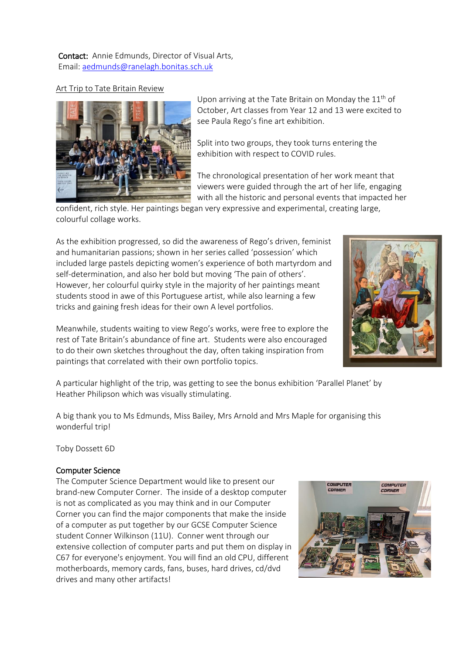Contact: Annie Edmunds, Director of Visual Arts, Email: [aedmunds@ranelagh.bonitas.sch.uk](mailto:aedmunds@ranelagh.bonitas.sch.uk)

#### Art Trip to Tate Britain Review



Upon arriving at the Tate Britain on Monday the  $11<sup>th</sup>$  of October, Art classes from Year 12 and 13 were excited to see Paula Rego's fine art exhibition.

Split into two groups, they took turns entering the exhibition with respect to COVID rules.

The chronological presentation of her work meant that viewers were guided through the art of her life, engaging with all the historic and personal events that impacted her

confident, rich style. Her paintings began very expressive and experimental, creating large, colourful collage works.

As the exhibition progressed, so did the awareness of Rego's driven, feminist and humanitarian passions; shown in her series called 'possession' which included large pastels depicting women's experience of both martyrdom and self-determination, and also her bold but moving 'The pain of others'. However, her colourful quirky style in the majority of her paintings meant students stood in awe of this Portuguese artist, while also learning a few tricks and gaining fresh ideas for their own A level portfolios.

Meanwhile, students waiting to view Rego's works, were free to explore the rest of Tate Britain's abundance of fine art. Students were also encouraged to do their own sketches throughout the day, often taking inspiration from paintings that correlated with their own portfolio topics.



A particular highlight of the trip, was getting to see the bonus exhibition 'Parallel Planet' by Heather Philipson which was visually stimulating.

A big thank you to Ms Edmunds, Miss Bailey, Mrs Arnold and Mrs Maple for organising this wonderful trip!

Toby Dossett 6D

#### Computer Science

The Computer Science Department would like to present our brand-new Computer Corner. The inside of a desktop computer is not as complicated as you may think and in our Computer Corner you can find the major components that make the inside of a computer as put together by our GCSE Computer Science student Conner Wilkinson (11U). Conner went through our extensive collection of computer parts and put them on display in C67 for everyone's enjoyment. You will find an old CPU, different motherboards, memory cards, fans, buses, hard drives, cd/dvd drives and many other artifacts!

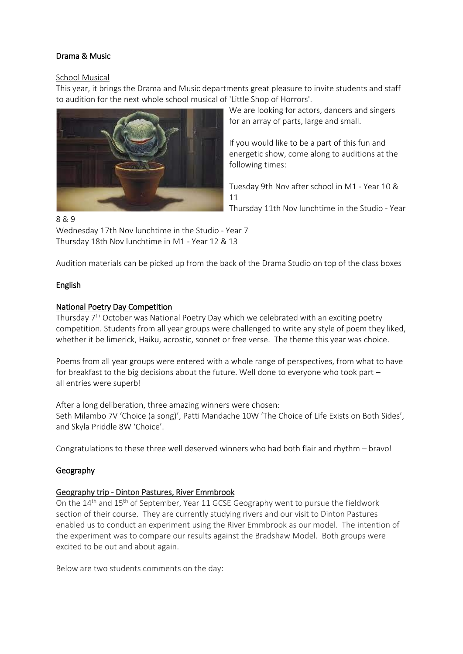#### Drama & Music

#### School Musical

This year, it brings the Drama and Music departments great pleasure to invite students and staff to audition for the next whole school musical of 'Little Shop of Horrors'.



We are looking for actors, dancers and singers for an array of parts, large and small.

If you would like to be a part of this fun and energetic show, come along to auditions at the following times:

Tuesday 9th Nov after school in M1 - Year 10 & 11

Thursday 11th Nov lunchtime in the Studio - Year

8 & 9

Wednesday 17th Nov lunchtime in the Studio - Year 7 Thursday 18th Nov lunchtime in M1 - Year 12 & 13

Audition materials can be picked up from the back of the Drama Studio on top of the class boxes

#### English

#### National Poetry Day Competition

Thursday 7th October was National Poetry Day which we celebrated with an exciting poetry competition. Students from all year groups were challenged to write any style of poem they liked, whether it be limerick, Haiku, acrostic, sonnet or free verse. The theme this year was choice.

Poems from all year groups were entered with a whole range of perspectives, from what to have for breakfast to the big decisions about the future. Well done to everyone who took part – all entries were superb!

After a long deliberation, three amazing winners were chosen: Seth Milambo 7V 'Choice (a song)', Patti Mandache 10W 'The Choice of Life Exists on Both Sides', and Skyla Priddle 8W 'Choice'.

Congratulations to these three well deserved winners who had both flair and rhythm – bravo!

#### Geography

#### Geography trip - Dinton Pastures, River Emmbrook

On the  $14<sup>th</sup>$  and  $15<sup>th</sup>$  of September, Year 11 GCSE Geography went to pursue the fieldwork section of their course. They are currently studying rivers and our visit to Dinton Pastures enabled us to conduct an experiment using the River Emmbrook as our model. The intention of the experiment was to compare our results against the Bradshaw Model. Both groups were excited to be out and about again.

Below are two students comments on the day: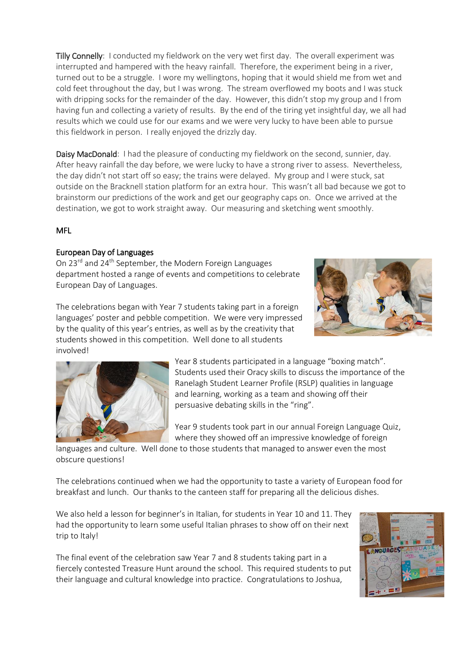Tilly Connelly: I conducted my fieldwork on the very wet first day. The overall experiment was interrupted and hampered with the heavy rainfall. Therefore, the experiment being in a river, turned out to be a struggle. I wore my wellingtons, hoping that it would shield me from wet and cold feet throughout the day, but I was wrong. The stream overflowed my boots and I was stuck with dripping socks for the remainder of the day. However, this didn't stop my group and I from having fun and collecting a variety of results. By the end of the tiring yet insightful day, we all had results which we could use for our exams and we were very lucky to have been able to pursue this fieldwork in person. I really enjoyed the drizzly day.

Daisy MacDonald: I had the pleasure of conducting my fieldwork on the second, sunnier, day. After heavy rainfall the day before, we were lucky to have a strong river to assess. Nevertheless, the day didn't not start off so easy; the trains were delayed. My group and I were stuck, sat outside on the Bracknell station platform for an extra hour. This wasn't all bad because we got to brainstorm our predictions of the work and get our geography caps on. Once we arrived at the destination, we got to work straight away. Our measuring and sketching went smoothly.

#### MFL

#### European Day of Languages

On 23rd and 24th September, the Modern Foreign Languages department hosted a range of events and competitions to celebrate European Day of Languages.



The celebrations began with Year 7 students taking part in a foreign languages' poster and pebble competition. We were very impressed by the quality of this year's entries, as well as by the creativity that students showed in this competition. Well done to all students involved!



Year 8 students participated in a language "boxing match". Students used their Oracy skills to discuss the importance of the Ranelagh Student Learner Profile (RSLP) qualities in language and learning, working as a team and showing off their persuasive debating skills in the "ring".

Year 9 students took part in our annual Foreign Language Quiz, where they showed off an impressive knowledge of foreign

languages and culture. Well done to those students that managed to answer even the most obscure questions!

The celebrations continued when we had the opportunity to taste a variety of European food for breakfast and lunch. Our thanks to the canteen staff for preparing all the delicious dishes.

We also held a lesson for beginner's in Italian, for students in Year 10 and 11. They had the opportunity to learn some useful Italian phrases to show off on their next trip to Italy!

The final event of the celebration saw Year 7 and 8 students taking part in a fiercely contested Treasure Hunt around the school. This required students to put their language and cultural knowledge into practice. Congratulations to Joshua,

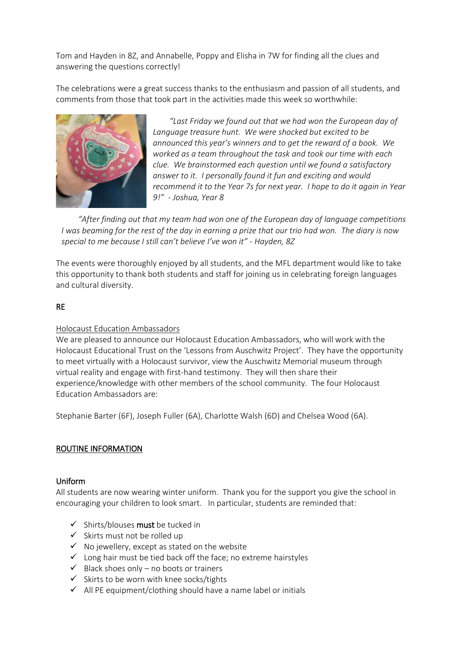Tom and Hayden in 8Z, and Annabelle, Poppy and Elisha in 7W for finding all the clues and answering the questions correctly!

The celebrations were a great success thanks to the enthusiasm and passion of all students, and comments from those that took part in the activities made this week so worthwhile:



*"Last Friday we found out that we had won the European day of Language treasure hunt. We were shocked but excited to be announced this year's winners and to get the reward of a book. We worked as a team throughout the task and took our time with each clue. We brainstormed each question until we found a satisfactory answer to it. I personally found it fun and exciting and would recommend it to the Year 7s for next year. I hope to do it again in Year 9!" - Joshua, Year 8*

*"After finding out that my team had won one of the European day of language competitions I was beaming for the rest of the day in earning a prize that our trio had won. The diary is now special to me because I still can't believe I've won it" - Hayden, 8Z*

The events were thoroughly enjoyed by all students, and the MFL department would like to take this opportunity to thank both students and staff for joining us in celebrating foreign languages and cultural diversity.

#### RE

#### Holocaust Education Ambassadors

We are pleased to announce our Holocaust Education Ambassadors, who will work with the Holocaust Educational Trust on the 'Lessons from Auschwitz Project'. They have the opportunity to meet virtually with a Holocaust survivor, view the Auschwitz Memorial museum through virtual reality and engage with first-hand testimony. They will then share their experience/knowledge with other members of the school community. The four Holocaust Education Ambassadors are:

Stephanie Barter (6F), Joseph Fuller (6A), Charlotte Walsh (6D) and Chelsea Wood (6A).

#### ROUTINE INFORMATION

#### Uniform

All students are now wearing winter uniform. Thank you for the support you give the school in encouraging your children to look smart. In particular, students are reminded that:

- $\checkmark$  Shirts/blouses must be tucked in
- ✓ Skirts must not be rolled up
- $\checkmark$  No jewellery, except as stated on the website
- ✓ Long hair must be tied back off the face; no extreme hairstyles
- $\checkmark$  Black shoes only no boots or trainers
- $\checkmark$  Skirts to be worn with knee socks/tights
- $\checkmark$  All PE equipment/clothing should have a name label or initials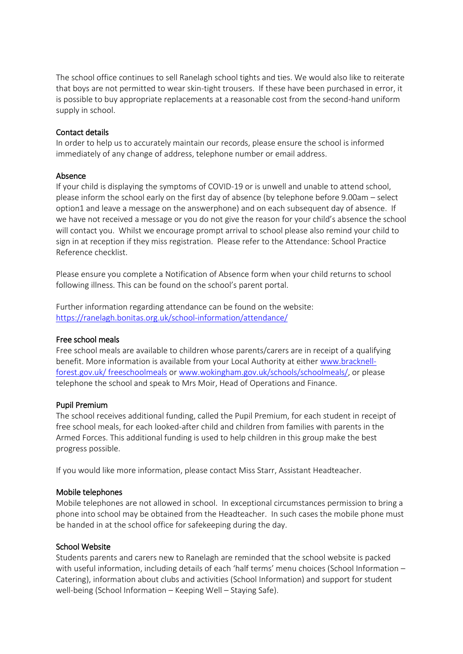The school office continues to sell Ranelagh school tights and ties. We would also like to reiterate that boys are not permitted to wear skin-tight trousers. If these have been purchased in error, it is possible to buy appropriate replacements at a reasonable cost from the second-hand uniform supply in school.

#### Contact details

In order to help us to accurately maintain our records, please ensure the school is informed immediately of any change of address, telephone number or email address.

#### Absence

If your child is displaying the symptoms of COVID-19 or is unwell and unable to attend school, please inform the school early on the first day of absence (by telephone before 9.00am – select option1 and leave a message on the answerphone) and on each subsequent day of absence. If we have not received a message or you do not give the reason for your child's absence the school will contact you. Whilst we encourage prompt arrival to school please also remind your child to sign in at reception if they miss registration. Please refer to the Attendance: School Practice Reference checklist.

Please ensure you complete a Notification of Absence form when your child returns to school following illness. This can be found on the school's parent portal.

Further information regarding attendance can be found on the website: <https://ranelagh.bonitas.org.uk/school-information/attendance/>

#### Free school meals

Free school meals are available to children whose parents/carers are in receipt of a qualifying benefit. More information is available from your Local Authority at eithe[r www.bracknell](http://www.bracknell-forest.gov.uk/%20freeschoolmeals)[forest.gov.uk/ freeschoolmeals](http://www.bracknell-forest.gov.uk/%20freeschoolmeals) or [www.wokingham.gov.uk/schools/schoolmeals/,](http://www.wokingham.gov.uk/schools/schoolmeals/) or please telephone the school and speak to Mrs Moir, Head of Operations and Finance.

#### Pupil Premium

The school receives additional funding, called the Pupil Premium, for each student in receipt of free school meals, for each looked-after child and children from families with parents in the Armed Forces. This additional funding is used to help children in this group make the best progress possible.

If you would like more information, please contact Miss Starr, Assistant Headteacher.

#### Mobile telephones

Mobile telephones are not allowed in school. In exceptional circumstances permission to bring a phone into school may be obtained from the Headteacher. In such cases the mobile phone must be handed in at the school office for safekeeping during the day.

#### School Website

Students parents and carers new to Ranelagh are reminded that the school website is packed with useful information, including details of each 'half terms' menu choices (School Information – Catering), information about clubs and activities (School Information) and support for student well-being (School Information – Keeping Well – Staying Safe).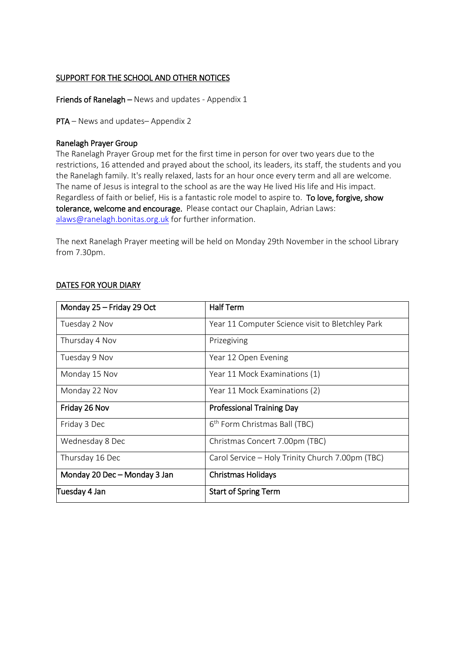#### SUPPORT FOR THE SCHOOL AND OTHER NOTICES

Friends of Ranelagh – News and updates - Appendix 1

PTA – News and updates– Appendix 2

#### Ranelagh Prayer Group

The Ranelagh Prayer Group met for the first time in person for over two years due to the restrictions, 16 attended and prayed about the school, its leaders, its staff, the students and you the Ranelagh family. It's really relaxed, lasts for an hour once every term and all are welcome. The name of Jesus is integral to the school as are the way He lived His life and His impact. Regardless of faith or belief, His is a fantastic role model to aspire to. To love, forgive, show tolerance, welcome and encourage. Please contact our Chaplain, Adrian Laws: [alaws@ranelagh.bonitas.org.uk](mailto:alaws@ranelagh.bonitas.org.uk) for further information.

The next Ranelagh Prayer meeting will be held on Monday 29th November in the school Library from 7.30pm.

| Monday 25 - Friday 29 Oct    | <b>Half Term</b>                                 |  |
|------------------------------|--------------------------------------------------|--|
| Tuesday 2 Nov                | Year 11 Computer Science visit to Bletchley Park |  |
| Thursday 4 Nov               | Prizegiving                                      |  |
| Tuesday 9 Nov                | Year 12 Open Evening                             |  |
| Monday 15 Nov                | Year 11 Mock Examinations (1)                    |  |
| Monday 22 Nov                | Year 11 Mock Examinations (2)                    |  |
| Friday 26 Nov                | <b>Professional Training Day</b>                 |  |
| Friday 3 Dec                 | 6 <sup>th</sup> Form Christmas Ball (TBC)        |  |
| Wednesday 8 Dec              | Christmas Concert 7.00pm (TBC)                   |  |
| Thursday 16 Dec              | Carol Service - Holy Trinity Church 7.00pm (TBC) |  |
| Monday 20 Dec - Monday 3 Jan | <b>Christmas Holidays</b>                        |  |
| Tuesday 4 Jan                | <b>Start of Spring Term</b>                      |  |

#### DATES FOR YOUR DIARY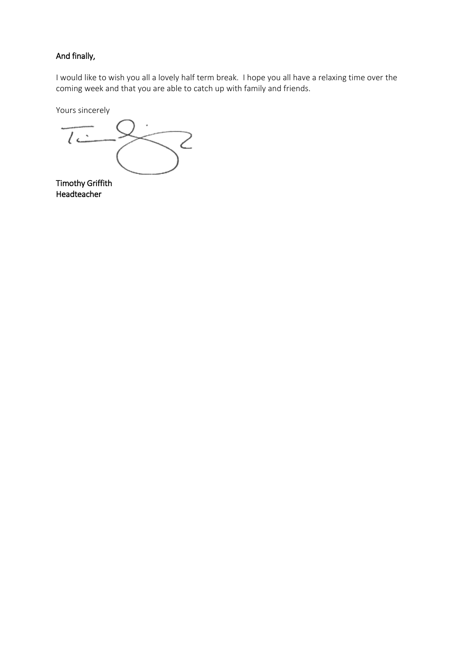#### And finally,

I would like to wish you all a lovely half term break. I hope you all have a relaxing time over the coming week and that you are able to catch up with family and friends.

Yours sincerely

 $\overline{c}$ 2

Timothy Griffith Headteacher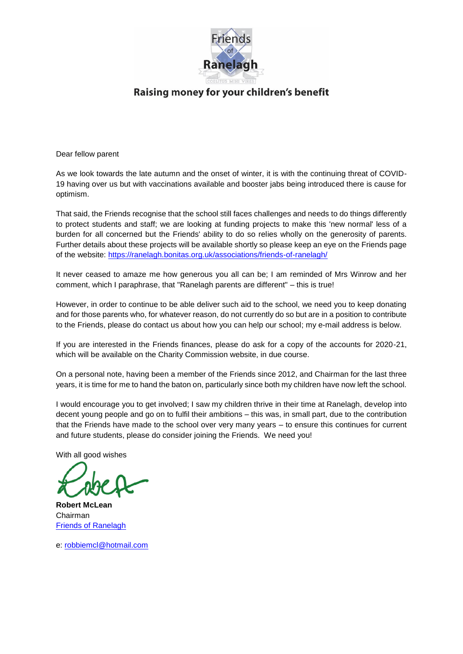

Raising money for your children's benefit

Dear fellow parent

As we look towards the late autumn and the onset of winter, it is with the continuing threat of COVID-19 having over us but with vaccinations available and booster jabs being introduced there is cause for optimism.

That said, the Friends recognise that the school still faces challenges and needs to do things differently to protect students and staff; we are looking at funding projects to make this 'new normal' less of a burden for all concerned but the Friends' ability to do so relies wholly on the generosity of parents. Further details about these projects will be available shortly so please keep an eye on the Friends page of the website:<https://ranelagh.bonitas.org.uk/associations/friends-of-ranelagh/>

It never ceased to amaze me how generous you all can be; I am reminded of Mrs Winrow and her comment, which I paraphrase, that "Ranelagh parents are different" – this is true!

However, in order to continue to be able deliver such aid to the school, we need you to keep donating and for those parents who, for whatever reason, do not currently do so but are in a position to contribute to the Friends, please do contact us about how you can help our school; my e-mail address is below.

If you are interested in the Friends finances, please do ask for a copy of the accounts for 2020-21, which will be available on the Charity Commission website, in due course.

On a personal note, having been a member of the Friends since 2012, and Chairman for the last three years, it is time for me to hand the baton on, particularly since both my children have now left the school.

I would encourage you to get involved; I saw my children thrive in their time at Ranelagh, develop into decent young people and go on to fulfil their ambitions – this was, in small part, due to the contribution that the Friends have made to the school over very many years – to ensure this continues for current and future students, please do consider joining the Friends. We need you!

With all good wishes

**Robert McLean** Chairman **[Friends of Ranelagh](https://www.ranelagh.bracknell-forest.sch.uk/associations/friends-of-ranelagh/)** 

e: [robbiemcl@hotmail.com](mailto:robbiemcl@hotmail.com)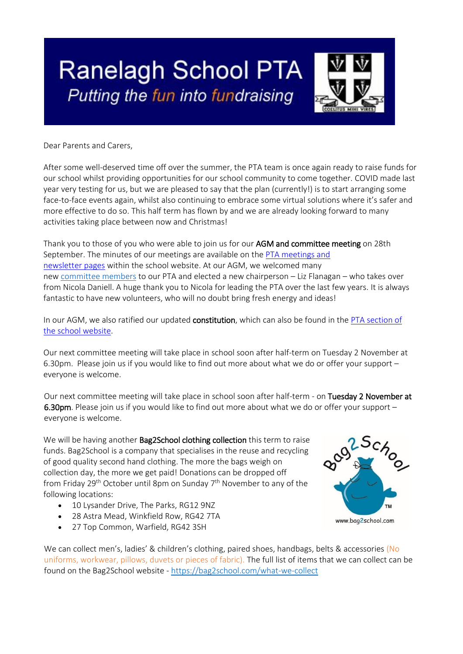# **Ranelagh School PTA** Putting the fun into fundraising



Dear Parents and Carers,

After some well-deserved time off over the summer, the PTA team is once again ready to raise funds for our school whilst providing opportunities for our school community to come together. COVID made last year very testing for us, but we are pleased to say that the plan (currently!) is to start arranging some face-to-face events again, whilst also continuing to embrace some virtual solutions where it's safer and more effective to do so. This half term has flown by and we are already looking forward to many activities taking place between now and Christmas!

Thank you to those of you who were able to join us for our AGM and committee meeting on 28th September. The minutes of our meetings are available on the PTA [meetings and](https://www.ranelagh.bracknell-forest.sch.uk/associations/parent-teacher-association/pta-meetings-newsletters/)  [newsletter](https://www.ranelagh.bracknell-forest.sch.uk/associations/parent-teacher-association/pta-meetings-newsletters/) pages within the school website. At our AGM, we welcomed many new [committee](https://ranelagh.bonitas.org.uk/associations/parent-teacher-association/pta-committee-members-2021-2022/) members to our PTA and elected a new chairperson – Liz Flanagan – who takes over from Nicola Daniell. A huge thank you to Nicola for leading the PTA over the last few years. It is always fantastic to have new volunteers, who will no doubt bring fresh energy and ideas!

In our AGM, we also ratified our updated constitution, which can also be found in the PTA section of the school [website.](https://ranelagh.bonitas.org.uk/associations/parent-teacher-association/)

Our next committee meeting will take place in school soon after half-term on Tuesday 2 November at 6.30pm. Please join us if you would like to find out more about what we do or offer your support – everyone is welcome.

Our next committee meeting will take place in school soon after half-term - on Tuesday 2 November at 6.30pm. Please join us if you would like to find out more about what we do or offer your support – everyone is welcome.

We will be having another **Bag2School clothing collection** this term to raise funds. Bag2School is a company that specialises in the reuse and recycling of good quality second hand clothing. The more the bags weigh on collection day, the more we get paid! Donations can be dropped off from Friday 29<sup>th</sup> October until 8pm on Sunday 7<sup>th</sup> November to any of the following locations:

- 10 Lysander Drive, The Parks, RG12 9NZ
- 28 Astra Mead, Winkfield Row, RG42 7TA
- 27 Top Common, Warfield, RG42 3SH

We can collect men's, ladies' & children's clothing, paired shoes, handbags, belts & accessories (No uniforms, workwear, pillows, duvets or pieces of fabric). The full list of items that we can collect can be found on the Bag2School website - <https://bag2school.com/what-we-collect>

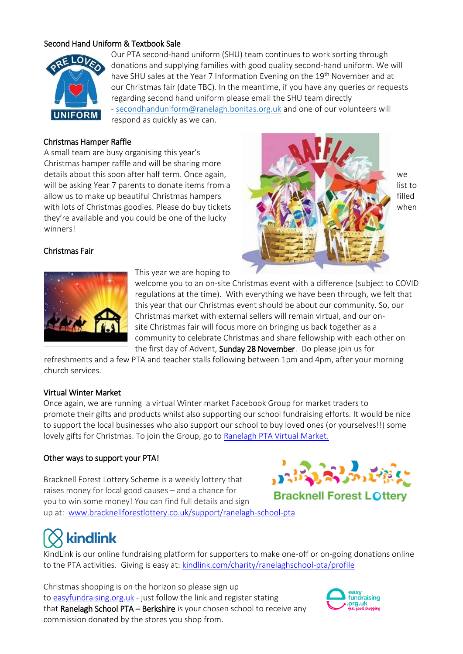#### Second Hand Uniform & Textbook Sale



Our PTA second-hand uniform (SHU) team continues to work sorting through donations and supplying families with good quality second-hand uniform. We will have SHU sales at the Year 7 Information Evening on the 19<sup>th</sup> November and at our Christmas fair (date TBC). In the meantime, if you have any queries or requests regarding second hand uniform please email the SHU team directly - [secondhanduniform@ranelagh.bonitas.org.uk](mailto:secondhanduniform@ranelagh.bonitas.org.uk) and one of our volunteers will respond as quickly as we can.

#### Christmas Hamper Raffle

A small team are busy organising this year's Christmas hamper raffle and will be sharing more details about this soon after half term. Once again, we were also as a set of the sound of the weak of the weak of the weak of the weak of the weak of the weak of the weak of the weak of the weak of the weak of the weak of will be asking Year 7 parents to donate items from a list to list to list to allow us to make up beautiful Christmas hampers filled with lots of Christmas goodies. Please do buy tickets when when when when they're available and you could be one of the lucky winners!



#### Christmas Fair



This year we are hoping to

welcome you to an on-site Christmas event with a difference (subject to COVID regulations at the time). With everything we have been through, we felt that this year that our Christmas event should be about our community. So, our Christmas market with external sellers will remain virtual, and our onsite Christmas fair will focus more on bringing us back together as a community to celebrate Christmas and share fellowship with each other on the first day of Advent, Sunday 28 November. Do please join us for

refreshments and a few PTA and teacher stalls following between 1pm and 4pm, after your morning church services.

#### Virtual Winter Market

Once again, we are running a virtual Winter market Facebook Group for market traders to promote their gifts and products whilst also supporting our school fundraising efforts. It would be nice to support the local businesses who also support our school to buy loved ones (or yourselves!!) some lovely gifts for Christmas. To join the Group, go to [Ranelagh PTA Virtual Market.](https://www.facebook.com/groups/ranelaghmarket/)

#### Other ways to support your PTA!

Bracknell Forest Lottery Scheme is a weekly lottery that raises money for local good causes – and a chance for you to win some money! You can find full details and sign up at: [www.bracknellforestlottery.co.uk/support/ranelagh-school-pta](https://www.bracknellforestlottery.co.uk/support/ranelagh-school-pta) 



**Bracknell Forest LOttery** 

## kindlink

KindLink is our online fundraising platform for supporters to make one-off or on-going donations online to the PTA activities. Giving is easy at: [kindlink.com/charity/ranelaghschool-pta/profile](http://www.kindlink.com/charity/ranelagh-school-pta/profile)

Christmas shopping is on the horizon so please sign up t[o](http://easyfundraising.org.uk/) easyfundraising.org.u[k](http://easyfundraising.org.uk/) - just follow the link and register stating that Ranelagh School PTA - Berkshire is your chosen school to receive any commission donated by the stores you shop from.